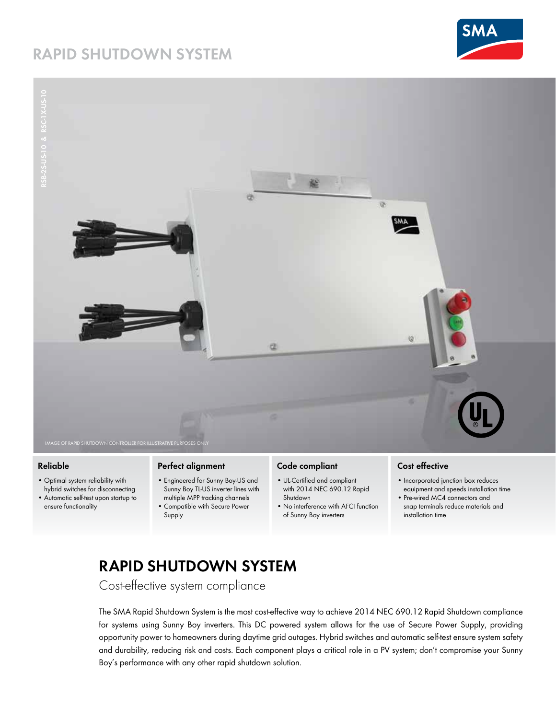## **[RAPID SHUTDOWN SYSTEM](https://www.altestore.com/store/inverters/inverter-accessories/sma-inverter-accessories/sma-sunny-boy-rapid-shutdown-box-p40451/)**





## **Reliable**

- Optimal system reliability with hybrid switches for disconnecting
- Automatic self-test upon startup to ensure functionality

### **Perfect alignment**

- Engineered for Sunny Boy-US and Sunny Boy TL-US inverter lines with multiple MPP tracking channels
- Compatible with Secure Power Supply

## **Code compliant**

- • UL-Certified and compliant with 2014 NEC 690.12 Rapid Shutdown
- No interference with AFCI function of Sunny Boy inverters

### **Cost effective**

- Incorporated junction box reduces equipment and speeds installation time
- Pre-wired MC4 connectors and snap terminals reduce materials and installation time

# **RAPID SHUTDOWN SYSTEM**

Cost-effective system compliance

The SMA Rapid Shutdown System is the most cost-effective way to achieve 2014 NEC 690.12 Rapid Shutdown compliance for systems using Sunny Boy inverters. This DC powered system allows for the use of Secure Power Supply, providing opportunity power to homeowners during daytime grid outages. Hybrid switches and automatic self-test ensure system safety and durability, reducing risk and costs. Each component plays a critical role in a PV system; don't compromise your Sunny Boy's performance with any other rapid shutdown solution.